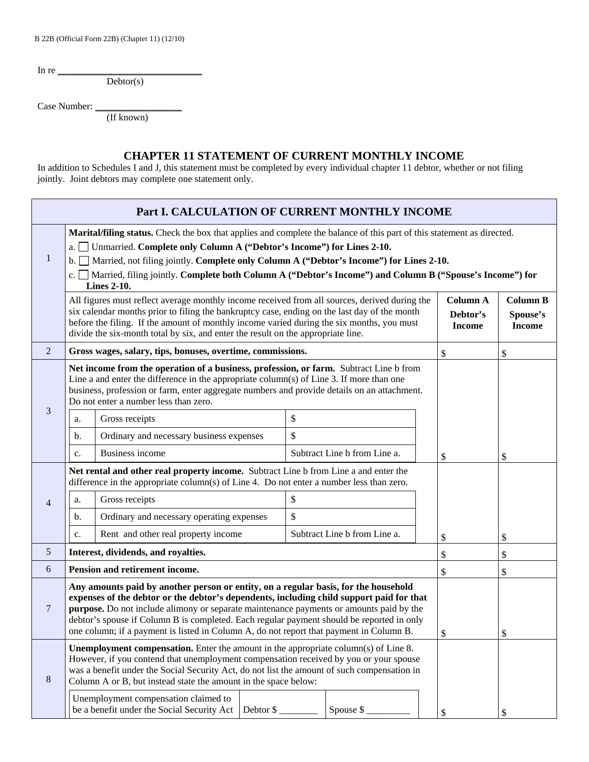B 22B (Official Form 22B) (Chapter 11) (12/10)

In re  $\overline{\phantom{a}}$ 

 $Dektor(s)$ 

Case Number:

(If known)

## **CHAPTER 11 STATEMENT OF CURRENT MONTHLY INCOME**

In addition to Schedules I and J, this statement must be completed by every individual chapter 11 debtor, whether or not filing jointly. Joint debtors may complete one statement only.

| Part I. CALCULATION OF CURRENT MONTHLY INCOME |                                                                                                                                                                                                                                                                                                                                                                                                                                                                    |                                           |  |    |                              |  |                                              |                                              |
|-----------------------------------------------|--------------------------------------------------------------------------------------------------------------------------------------------------------------------------------------------------------------------------------------------------------------------------------------------------------------------------------------------------------------------------------------------------------------------------------------------------------------------|-------------------------------------------|--|----|------------------------------|--|----------------------------------------------|----------------------------------------------|
| $\mathbf{1}$                                  | Marital/filing status. Check the box that applies and complete the balance of this part of this statement as directed.<br>Unmarried. Complete only Column A ("Debtor's Income") for Lines 2-10.<br>$a. \Box$<br>Married, not filing jointly. Complete only Column A ("Debtor's Income") for Lines 2-10.<br>$\mathbf{b}$ .<br>c. Married, filing jointly. Complete both Column A ("Debtor's Income") and Column B ("Spouse's Income") for<br><b>Lines 2-10.</b>     |                                           |  |    |                              |  |                                              |                                              |
|                                               | All figures must reflect average monthly income received from all sources, derived during the<br>six calendar months prior to filing the bankruptcy case, ending on the last day of the month<br>before the filing. If the amount of monthly income varied during the six months, you must<br>divide the six-month total by six, and enter the result on the appropriate line.                                                                                     |                                           |  |    |                              |  | <b>Column A</b><br>Debtor's<br><b>Income</b> | <b>Column B</b><br>Spouse's<br><b>Income</b> |
| $\overline{2}$                                | Gross wages, salary, tips, bonuses, overtime, commissions.                                                                                                                                                                                                                                                                                                                                                                                                         |                                           |  |    |                              |  | \$                                           | \$                                           |
| 3                                             | Net income from the operation of a business, profession, or farm. Subtract Line b from<br>Line a and enter the difference in the appropriate column(s) of Line $3$ . If more than one<br>business, profession or farm, enter aggregate numbers and provide details on an attachment.<br>Do not enter a number less than zero.                                                                                                                                      |                                           |  |    |                              |  |                                              |                                              |
|                                               | a.                                                                                                                                                                                                                                                                                                                                                                                                                                                                 | Gross receipts                            |  | \$ |                              |  |                                              |                                              |
|                                               | $\mathbf{b}$ .                                                                                                                                                                                                                                                                                                                                                                                                                                                     | Ordinary and necessary business expenses  |  | \$ |                              |  |                                              |                                              |
|                                               | c.                                                                                                                                                                                                                                                                                                                                                                                                                                                                 | <b>Business income</b>                    |  |    | Subtract Line b from Line a. |  | \$                                           | \$                                           |
| $\overline{4}$                                | Net rental and other real property income. Subtract Line b from Line a and enter the<br>difference in the appropriate column(s) of Line 4. Do not enter a number less than zero.                                                                                                                                                                                                                                                                                   |                                           |  |    |                              |  |                                              |                                              |
|                                               | a.                                                                                                                                                                                                                                                                                                                                                                                                                                                                 | \$<br>Gross receipts                      |  |    |                              |  |                                              |                                              |
|                                               | $\mathbf{b}$ .                                                                                                                                                                                                                                                                                                                                                                                                                                                     | Ordinary and necessary operating expenses |  | \$ |                              |  |                                              |                                              |
|                                               | c.                                                                                                                                                                                                                                                                                                                                                                                                                                                                 | Rent and other real property income       |  |    | Subtract Line b from Line a. |  | \$                                           | \$                                           |
| 5                                             | Interest, dividends, and royalties.                                                                                                                                                                                                                                                                                                                                                                                                                                |                                           |  |    |                              |  | \$                                           | \$                                           |
| 6                                             | Pension and retirement income.                                                                                                                                                                                                                                                                                                                                                                                                                                     |                                           |  |    |                              |  | \$                                           | \$                                           |
| 7                                             | Any amounts paid by another person or entity, on a regular basis, for the household<br>expenses of the debtor or the debtor's dependents, including child support paid for that<br>purpose. Do not include alimony or separate maintenance payments or amounts paid by the<br>debtor's spouse if Column B is completed. Each regular payment should be reported in only<br>one column; if a payment is listed in Column A, do not report that payment in Column B. |                                           |  |    |                              |  | \$                                           | ¢                                            |
| $\,8\,$                                       | <b>Unemployment compensation.</b> Enter the amount in the appropriate column(s) of Line 8.<br>However, if you contend that unemployment compensation received by you or your spouse<br>was a benefit under the Social Security Act, do not list the amount of such compensation in<br>Column A or B, but instead state the amount in the space below:                                                                                                              |                                           |  |    |                              |  |                                              |                                              |
|                                               | Unemployment compensation claimed to<br>be a benefit under the Social Security Act<br>Debtor \$<br>Spouse $\frac{1}{2}$                                                                                                                                                                                                                                                                                                                                            |                                           |  |    |                              |  | $\boldsymbol{\mathsf{S}}$                    | \$                                           |